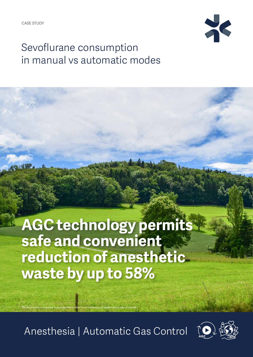

## Sevoflurane consumption in manual vs automatic modes

**AGC technology permits safe and convenient reduction of anesthetic waste by up to 58%**

Anesthesia | Automatic Gas Control

This document is intended to provide information to an international audience outside of the US.

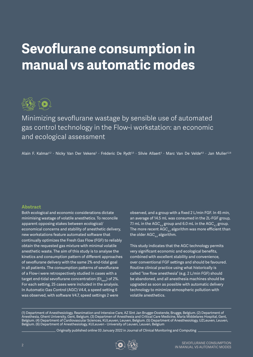# **Sevoflurane consumption in manual vs automatic modes**



Minimizing sevoflurane wastage by sensible use of automated gas control technology in the Flow‑i workstation: an economic and ecological assessment

Alain F. Kalmar<sup>1,2 .</sup> Nicky Van Der Vekens<sup>3 .</sup> Fréderic De Rydt<sup>3,5 .</sup> Silvie Allaert<sup>3</sup> . Marc Van De Velde<sup>4,5</sup> <sup>.</sup> Jan Mulier<sup>1,2,6</sup>

#### **Abstract**

Both ecological and economic considerations dictate minimising wastage of volatile anesthetics. To reconcile apparent opposing stakes between ecological/ economical concerns and stability of anesthetic delivery, new workstations feature automated software that continually optimizes the Fresh Gas Flow (FGF) to reliably obtain the requested gas mixture with minimal volatile anesthetic waste. The aim of this study is to analyse the kinetics and consumption pattern of different approaches of sevoflurane delivery with the same 2% end-tidal goal in all patients. The consumption patterns of sevoflurane of a Flow-i were retrospectively studied in cases with a target end-tidal sevoflurane concentration (Et $_{\text{cav}}$ ) of 2%. For each setting, 25 cases were included in the analysis. In Automatic Gas Control (AGC) V4.4, a speed setting 6 was observed, with software V4.7, speed settings 2 were

observed, and a group with a fixed 2 L/min FGF. In 45 min, an average of 14.5 mL was consumed in the 2L-FGF group, 7.1 mL in the AGC $_{44}$  group and 6.0 mL in the AGC $_{47}$  group. The more recent  $AGC_{47}$  algorithm was more efficient than the older  $AGC_{44}$  algorithm.

This study indicates that the AGC technology permits very significant economic and ecological benefits, combined with excellent stability and convenience, over conventional FGF settings and should be favoured. Routine clinical practice using what historically is called "low flow anesthesia" (e.g. 2 L/min FGF) should be abandoned, and all anesthesia machines should be upgraded as soon as possible with automatic delivery technology to minimize atmospheric pollution with volatile anesthetics.

(1) Department of Anesthesiology, Reanimation and Intensive Care, AZ Sint Jan Brugge-Oostende, Brugge, Belgium. (2) Department of Anesthesia, Ghent University, Gent, Belgium. (3) Departmen of Anesthesia and Critical Care Medicine, Maria Middelares Hospital, Gent, Belgium. (4) Department of Cardiovascular Sciences, KULeuven, Leuven, Belgium. (5) Department of Anesthesiology, UZLeuven, Leuven, Belgium. (6) Department of Anesthesiology, KULeuven - University of Leuven, Leuven, Belgium

Originally published online 03 January 2022 in Journal of Clinical Monitoring and Computing

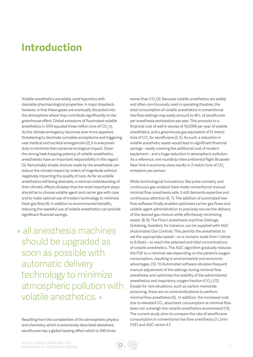### **Introduction**

Volatile anesthetics are widely used hypnotics with desirable pharmacological properties. A major drawback, however, is that these gases are eventually discarded into the atmosphere where they contribute significantly to the greenhouse effect. Global emissions of fluorinated volatile anesthetics in 2014 equaled three million tons of  $CO<sub>2</sub>$  [1]. As the climate emergency becomes ever more apparent, threatening to decimate complete ecosystems and triggering vast medical and societal emergencies [2], it is everyone's duty to minimize their personal ecological impact. Given the strong heat-trapping potency of volatile anesthetics, anesthetists have an important responsibility in this regard [3]. Remarkably simple choices made by the anesthetist can reduce the climate impact by orders of magnitude without negatively impacting the quality of care. As far as volatile anesthetics still being desirable, a minimal understanding of their climatic effects dictates that the most important steps should be to choose volatile agent and carrier gas with care, and to make optimal use of modern technology to minimize fresh gas flow [4]. In addition to environmental benefits, reducing the wasteful use of volatile anesthetics can provide significant financial savings.

» all anesthesia machines should be upgraded as soon as possible with automatic delivery technology to minimize atmospheric pollution with volatile anesthetics. «

Resulting from the complexities of the atmospheric physics and chemistry, which is extensively described elsewhere, sevoflurane has a global heating effect which is 349 times

worse than CO $_{\tiny 2}$  [3]. Because volatile anesthetics are widely and often con-tinuously used in operating theatres, the total consumption of volatile anesthetics in conventional low-flow settings may easily amount to 40 L of sevoflurane per anesthesia workstation per year. This amounts to a financial cost of well in excess of 16,000€ per year of volatile anesthetics, and a greenhouse gas equivalent of 21 metric tons of CO $_2$  for sevoflurane [3, 5]. As such, a reduction in volatile anesthetic waste would lead to significant financial savings – easily covering the additional cost of modern equipment – and a huge reduction in atmospheric pollution. As a reference, one roundtrip intercontinental flight Brussels-New York in economy class results in 2 metric tons of CO<sub>2</sub> emissions per person.

While technological innovations, like pulse oximetry and continuous gas analysis have made conventional manual minimal flow anesthesia safe, it still demands expertise and continuous attention [6, 7]. The addition of automated lowflow software finally enables optimized carrier gas flows and volatile agent administration to precisely secure the delivery of the desired gas mixture while effortlessly minimizing waste [8, 9]. The Flow-i anesthesia machine (Getinge, Goteborg, Sweden), for instance, can be supplied with AGC (Automated Gas Control). This permits the anesthetist to set the appropriate speed—on a numeric scale from 1 (slow) to 8 (fast)—to reach the selected end-tidal concentrations of volatile anesthetics. The AGC algorithm gradually reduces the FGF to a minimal rate depending on the patient's oxygen consumption, resulting in environmental and economic advantages. [10, 11] Automated software obviates frequent manual adjustment of the settings during minimal flow anesthesia and optimizes the stability of the administered anesthetics and inspiratory oxygen fraction ( $F_1O_2$ ) [12]. Except for rare situations, such as carbon monoxide poisoning, there are no contraindications to perform minimal flow anesthesia [6]. In addition, the increased cost due to elevated  $\mathsf{CO}_2$  absorbent consumption at minimal flow does not outweigh the volatile anesthetics economised [13]. The current study aims to compare the rate of sevoflurane consumption in conventional low flow anesthesia (2 L/min FGF) and AGC verion 4.7.

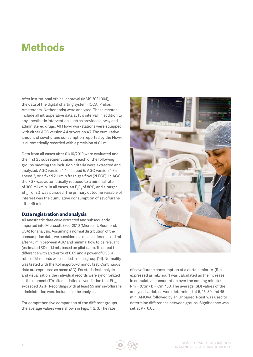### **Methods**

After institutional ethical approval (MMS.2021.004), the data of the digital charting system (ICCA, Philips, Amsterdam, Netherlands) were analysed. These records include all intraoperative data at 15 s interval, in addition to any anesthetic intervention such as provided airway and administered drugs. All Flow-i workstations were equipped with either AGC version 4.4 or version 4.7. The cumulative amount of sevoflurane consumption reported by the Flow-i is automatically recorded with a precision of 0.1 mL.

Data from all cases after 01/10/2019 were evaluated and the first 25 subsequent cases in each of the following groups meeting the inclusion criteria were extracted and analyzed: AGC version 4.4 in speed 6; AGC version 4.7 in speed 2, or a fixed 2 L/min fresh gas flow (2LFGF). In AGC the FGF was automatically reduced to a minimal rate of 300 mL/min. In all cases, an  $F_1O_2$  of 80%, and a target  $Et_{\text{max}}$  of 2% was pursued. The primary outcome variable of interest was the cumulative consumption of sevoflurane after 45 min.

#### **Data registration and analysis**

All anesthetic data were extracted and subsequently imported into Microsoft Excel 2010 (Microsoft, Redmond, USA) for analysis. Assuming a normal distribution of the consumption data, we considered a mean difference of 1 mL after 45 min between AGC and minimal flow to be relevant (estimated SD of 1.1 mL, based on pilot data). To detect this difference with an α-error of 0.05 and a power of 0.95, a total of 25 records was needed in each group [14]. Normality was tested with the Kolmogorov–Smirnov test. Continuous data are expressed as mean (SD). For statistical analysis and visualization, the individual records were synchronized at the moment (T0) after initiation of ventilation that  $Et_{\text{Sov}}$ exceeded 0.2%. Recordings with at least 55 min sevoflurane administration were included in the analysis.

For comprehensive comparison of the different groups, the average values were shown in Figs. 1, 2, 3. The rate



of sevoflurane consumption at a certain minute (Rm, expressed as mL/hour) was calculated as the increase in cumulative consumption over the coming minute:  $Rm = (C(m+1) - Cm)^*60$ . The average (SD) values of the analysed variables were determined at 5, 15, 30 and 45 min. ANOVA followed by an Unpaired T-test was used to determine differences between groups. Significance was set at P < 0.05.

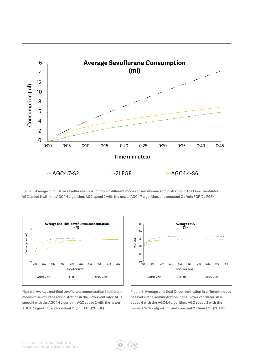

Figure 1: **Average cumulative sevoflurane consumption in different modes of sevoflurane administration in the Flow-i ventilator. AGC speed 6 with the AGC4.4 algorithm, AGC speed 2 with the newer AGC4.7 algorithm, and constant 2 L/min FGF (2L FGF)**



Figure 2: **Average end-tidal sevoflurane concentration in different modes of sevoflurane administration in the Flow-i ventilator. AGC speed 6 with the AGC4.4 algorithm, AGC speed 2 with the newer AGC4.7 algorithm, and constant 2 L/min FGF (2L FGF).**



Figure 3: Average end-tidal O<sub>2</sub> concentration in different modes **of sevoflurane administration in the Flow-i ventilator. AGC speed 6 with the AGC4.4 algorithm, AGC speed 2 with the newer AGC4.7 algorithm, and constant 2 L/min FGF (2L FGF).**

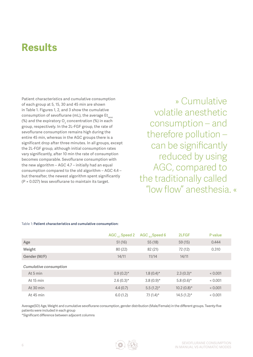### **Results**

Patient characteristics and cumulative consumption of each group at 5, 15, 30 and 45 min are shown in Table 1. Figures 1, 2, and 3 show the cumulative consumption of sevoflurane (mL), the average  $Et_{\text{scatt}}$ (%) and the expiratory  ${\mathsf O}_2$  concentration (%) in each group, respectively. In the 2L-FGF group, the rate of sevoflurane consumption remains high during the entire 45 min, whereas in the AGC groups there is a significant drop after three minutes. In all groups, except the 2L-FGF group, although initial consumption rates vary significantly, after 10 min the rate of consumption becomes comparable. Sevoflurane consumption with the new algorithm – AGC 4.7 – initially had an equal consumption compared to the old algorithm – AGC 4.4 – but thereafter, the newest algorithm spent significantly (P = 0.027) less sevoflurane to maintain its target.

» Cumulative volatile anesthetic consumption – and therefore pollution – can be significantly reduced by using AGC, compared to the traditionally called "low flow" anesthesia. «

#### Table 1: **Patient characteristics and cumulative consumption:**

|                        | AGC $_A$ , Speed 2 | AGC $_{44}$ Speed 6 | 2LFGF         | P value |
|------------------------|--------------------|---------------------|---------------|---------|
| Age                    | 51(16)             | 55(18)              | 59(15)        | 0.444   |
| Weight                 | 80(22)             | 82 (21)             | 72 (12)       | 0.310   |
| Gender (M/F)           | 14/11              | 11/14               | 14/11         |         |
| Cumulative consumption |                    |                     |               |         |
| At 5 min               | $0.9(0.2)$ *       | $1.8(0.4)$ *        | $2.3(0.3)$ *  | < 0.001 |
| At 15 min              | $2.6(0.3)$ *       | $3.8(0.9)$ *        | 5.8 $(0.6)$ * | < 0.001 |
| At 30 min              | 4.4(0.7)           | $5.5(1.2)^{*}$      | $10.2(0.8)$ * | < 0.001 |
| At 45 min              | 6.0(1.2)           | 7.1 $(1.4)^*$       | $14.5(1.2)$ * | < 0.001 |

Average(SD) Age, Weight and cumulative sevoflurane consumption, gender distribution (Male/Female) in the different groups. Twenty-five patients were included in each group

\*Significant difference between adjacent columns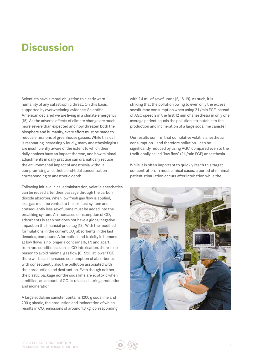### **Discussion**

Scientists have a moral obligation to clearly warn humanity of any catastrophic threat. On this basis, supported by overwhelming evidence, Scientific American declared we are living in a climate emergency [15]. As the adverse effects of climate change are much more severe than expected and now threaten both the biosphere and humanity, every effort must be made to reduce emissions of greenhouse gasses. While this call is resonating increasingly loudly, many anesthesiologists are insufficiently aware of the extent to which their daily choices have an impact thereon, and how minimal adjustments in daily practice can dramatically reduce the environmental impact of anesthesia without compromising anesthetic end-tidal concentration corresponding to anesthetic depth.

Following initial clinical administration, volatile anesthetics can be reused after their passage through the carbon dioxide absorber. When low fresh gas flow is applied, less gas must be vented to the exhaust system and consequently less sevoflurane must be added into the breathing system. An increased consumption of CO<sub>2</sub> adsorbents is seen but does not have a global negative impact on the financial price tag [13]. With the modified formulations in the current CO $_{\textrm{\tiny{2}}}$  absorbents in the last decades, compound A formation and toxicity in humans at low flows is no longer a concern [16, 17] and apart from rare conditions such as CO intoxication, there is no reason to avoid minimal gas flow [6]. Still, at lower FGF, there will be an increased consumption of absorbents, with consequently also the pollution associated with their production and destruction. Even though neither the plastic package nor the soda lime are ecotoxic when landfilled, an amount of CO $_{\rm 2}$  is released during production and incineration.

A large sodalime canister contains 1200 g sodalime and 200 g plastic, the production and incineration of which results in CO $_2$  emissions of around 1.3 kg, corresponding with 2.4 mL of sevoflurane [5, 18, 19]. As such, it is striking that the pollution owing to even only the excess sevoflurane consumption when using 2 L/min FGF instead of AGC speed 2 in the first 12 min of anesthesia in only one average patient equals the pollution attributable to the production and incineration of a large sodalime canister.

Our results confirm that cumulative volatile anesthetic consumption – and therefore pollution – can be significantly reduced by using AGC, compared even to the traditionally called "low flow" (2 L/min FGF) anaesthesia.

While it is often important to quickly reach this target concentration, in most clinical cases, a period of minimal patient stimulation occurs after intubation while the

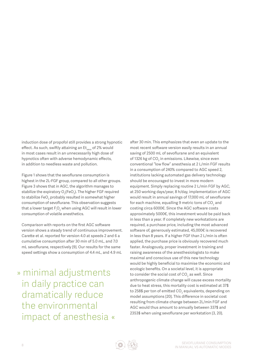induction dose of propofol still provides a strong hypnotic effect. As such, swiftly attaining an Et<sub>sevo</sub> of 2% would in most cases result in an unnecessarily high dose of hypnotics often with adverse hemodynamic effects, in addition to needless waste and pollution.

Figure 1 shows that the sevoflurane consumption is highest in the 2L-FGF group, compared to all other groups. Figure 3 shows that in AGC, the algorithm manages to stabilize the expiratory O<sub>2</sub>(FeO<sub>2</sub>). The higher FGF required to stabilize FeO $_2$  probably resulted in somewhat higher consumption of sevoflurane. This observation suggests that a lower target  $\mathsf{F}^{\vphantom{\dagger}}_i$  ohen using AGC will result in lower consumption of volatile anesthetics.

Comparison with reports on the first AGC software version shows a steady trend of continuous improvement. Carette et al. reported for version 4.0 at speeds 2 and 6 a cumulative consumption after 30 min of 5.0 mL, and 7.0 mL sevoflurane, respectively [9]. Our results for the same speed settings show a consumption of 4.4 mL, and 4.9 mL

» minimal adjustments in daily practice can dramatically reduce the environmental impact of anesthesia « after 30 min. This emphasizes that even an update to the most recent software version easily results in an annual saving of 2500 mL of sevoflurane and an equivalent of 1326 kg of CO<sub>2</sub> in emissions. Likewise, since even conventional "low flow" anesthesia at 2 L/min FGF results in a consumption of 240% compared to AGC speed 2, institutions lacking automated gas delivery technology should be encouraged to invest in more modern equipment. Simply replacing routine 2 L/min FGF by AGC, at 250 working days/year, 8 h/day, implementation of AGC would result in annual savings of 17,000 mL of sevoflurane for each machine, equalling 9 metric tons of CO $_{\textrm{\tiny{2}}}$  and costing circa 6000€. Since the AGC software costs approximately 5000€, this investment would be paid back in less than a year. If completely new workstations are required, a purchase price, including the most advanced software of, generously estimated, 45,000€ is recovered in less than 8 years. If a higher FGF than 2 L/min is often applied, the purchase price is obviously recovered much faster. Analogously, proper investment in training and raising awareness of the anesthesiologists to make maximal and conscious use of this new technology would be highly beneficial to maximise the economic and ecologic benefits. On a societal level, it is appropriate to consider the social cost of CO $_{\textrm{\tiny{2}}}$  as well. Since anthropogenic climate change will cause excess mortality due to heat stress, this mortality cost is estimated at 37\$ to 258\$ per ton of emitted CO $_{\textrm{\tiny{2}}}$  equivalents, depending on model assumptions [20]. This difference in societal cost resulting from climate change between 2L/min FGF and AGC would thus amount to annually between 337\$ and 2353\$ when using sevoflurane per workstation [3, 20].

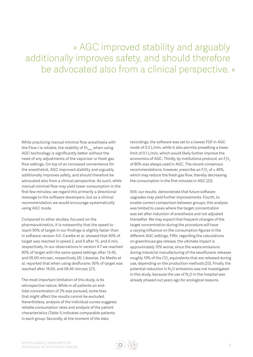### » AGC improved stability and arguably additionally improves safety, and should therefore be advocated also from a clinical perspective. «

While practicing manual minimal flow anesthesia with the Flow-i is reliable, the stability of  $Et_{\tiny\mbox{e} \nu \alpha}$  when using AGC-technology is significantly better without the need of any adjustments of the vaporizer or fresh gas flow settings. On top of an increased convenience for the anesthetist, AGC improved stability and arguably additionally improves safety, and should therefore be advocated also from a clinical perspective. As such, while manual minimal flow may yield lower consumption in the first few minutes, we regard this primarily a directional message to the software developers, but as a clinical recommendation we would encourage systematically using AGC mode.

Compared to other studies, focused on the pharmacokinetics, it is noteworthy that the speed to reach 90% of target in our findings is slightly faster than in software version 4.0. Carette et al. showed that 90% of target was reached in speed 2, and 6 after 15, and 6 min, respectively. In our observations in version 4.7 we reached 90% of target with the same speed settings after 13:45, and 05:00 min:sec, respectively [9]. Likewise, De Medts et al. reported that when using desflurane, 90% of target was reached after 16:00, and 06:45 min:sec [21].

The most important limitation of this study, is its retrospective nature. While in all patients an endtidal concentration of 2% was pursued, some bias that might affect the results cannot be excluded. Nevertheless, analysis of the individual curves suggests reliable consumption rates and analysis of the patient characteristics (Table 1) indicates comparable patients in each group. Secondly, at the moment of the data

recordings, the software was set to a lowest FGF in AGC mode of 0.3 L/min, while it also permits presetting a lower limit of 0.1 L/min, which would likely further improve the economics of AGC. Thirdly, by institutions protocol, an  $F_iO_2$ of 80% was always used in AGC. The recent consensus recommendations, however, prescribe an  $F_1O_2$  of  $\geq 40\%$ , which may reduce the fresh gas flow, thereby decreasing the consumption in the first minutes in AGC [22].

Still, our results demonstrate that future software upgrades may yield further improvements. Fourth, to enable correct comparison between groups, this analysis was limited to cases where the target concentration was set after induction of anesthesia and not adjusted thereafter. We may expect that frequent changes of the target concentration during the procedure will have a varying influence on the consumption figures in the different AGC settings. Fifth, regarding the calculations on greenhouse gas release, the ultimate impact is approximately 10% worse, since the waste emissions during industrial manufacturing of the sevoflurane releases roughly 10% of the CO $_2$  equivalents that are released during use, depending on the production methods [23]. Finally, the potential reduction in  $N_2O$  emissions was not investigated in this study, because the use of  $\text{N}_2\text{O}$  in the hospital was already phased out years ago for ecological reasons.

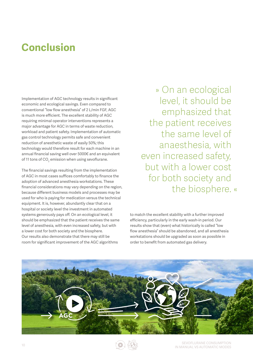### **Conclusion**

Implementation of AGC technology results in significant economic and ecological savings. Even compared to conventional "low flow anesthesia" of 2 L/min FGF, AGC is much more efficient. The excellent stability of AGC requiring minimal operator interventions represents a major advantage for AGC in terms of waste reduction, workload and patient safety. Implementation of automatic gas control technology permits safe and convenient reduction of anesthetic waste of easily 50%; this technology would therefore result for each machine in an annual financial saving well over 5000€ and an equivalent of 11 tons of  $\mathrm{CO}_2$  emission when using sevoflurane.

The financial savings resulting from the implementation of AGC in most cases suffices comfortably to finance the adoption of advanced anesthesia workstations. These financial considerations may vary depending on the region, because different business models and processes may be used for who is paying for medication versus the technical equipment. It is, however, abundantly clear that on a hospital or society level the investment in automated systems generously pays off. On an ecological level, it should be emphasized that the patient receives the same level of anesthesia, with even increased safety, but with a lower cost for both society and the biosphere. Our results also demonstrate that there may still be room for significant improvement of the AGC algorithms

» On an ecological level, it should be emphasized that the patient receives the same level of anaesthesia, with even increased safety, but with a lower cost for both society and the biosphere. «

to match the excellent stability with a further improved efficiency, particularly in the early wash-in period. Our results show that (even) what historically is called "low flow anesthesia" should be abandoned, and all anesthesia workstations should be upgraded as soon as possible in order to benefit from automated gas delivery.



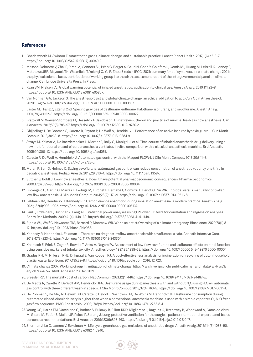#### **References**

- 1. Charlesworth M, Swinton F. Anaesthetic gases, climate change, and sustainable practice. Lancet Planet Health. 2017;1(6):e216–7. https:// doi. org/ 10. 1016/ S2542- 5196(17) 30040-2.
- 2. Masson-Delmotte V, Zhai P, Pirani A, Connors SL, Péan C, Berger S, Caud N, Chen Y, Goldfarb L, Gomis MI, Huang M, Leitzell K, Lonnoy E, Matthews JBR, Maycock TK, Waterfield T, Yelekçi O, Yu R, Zhou B (eds.). IPCC, 2021: summary for policymakers. In: climate change 2021: the physical science basis. contribution of working group I to the sixth assessment report of the intergovernmental panel on climate change. Cambridge University Press. In Press.
- 3. Ryan SM, Nielsen CJ. Global warming potential of inhaled anesthetics: application to clinical use. Anesth Analg. 2010;111:92–8. https:// doi. org/ 10. 1213/ ANE. 0b013 e3181 e058d7.
- 4. Van Norman GA, Jackson S. The anesthesiologist and global climate change: an ethical obligation to act. Curr Opin Anaesthesiol. 2020;33(4):577–83. https:// doi. org/ 10. 1097/ ACO. 00000 00000 000887.
- 5. Laster MJ, Fang Z, Eger EI 2nd. Specific gravities of desflurane, enflurane, halothane, isoflurane, and sevoflurane. Anesth Analg. 1994;78(6):1152–3. https:// doi. org/ 10. 1213/ 00000 539- 19940 6000- 00022.
- 6. Brattwall M, Warrén-Stomberg M, Hesselvik F, Jakobsson J. Brief review: theory and practice of minimal fresh gas flow anesthesia. Can J Anaesth. 2012;59(8):785–97. https:// doi. org/ 10. 1007/ s12630- 012- 9736-2.
- 7. Ghijselings I, De Cooman S, Carette R, Peyton P, De Wolf A, Hendrickx J. Performance of an active inspired hypoxic guard. J Clin Monit Comput. 2016;30:63–8. https:// doi. org/ 10. 1007/ s10877- 015- 9684-9.
- 8. Struys M, Kalmar A, De Baerdemaeker L, Mortier E, Rolly G, Manigel J, et al. Time course of inhaled anaesthetic drug delivery using a new multifunctional closed-circuit anaesthesia ventilator. In vitro comparison with a classical anaesthesia machine. Br J Anaesth. 2005;94:306–17. https:// doi. org/ 10. 1093/ bja/ aei051.
- 9. Carette R, De Wolf A, Hendrickx J. Automated gas control with the Maquet FLOW-i. J Clin Monit Comput. 2016;30:341–6. https:// doi. org/ 10. 1007/ s10877- 015- 9723-6.
- 10. Moran P, Barr D, Holmes C. Saving sevoflurane: automated gas control can reduce consumption of anesthetic vapor by one third in pediatric anesthesia. Pediatr Anesth. 2019;29:310–4. https:// doi. org/ 10. 1111/ pan. 13587.
- 11. Suttner S, Boldt J. Low-flow anaesthesia. Does it have potential pharmacoeconomic consequences? Pharmacoeconomics. 2000;17(6):585–90. https:// doi. org/ 10. 2165/ 00019 053- 20001 7060- 00004.
- 12. Lucangelo U, Garufi G, Marras E, Ferluga M, Turchet F, Bernabè F, Comuzzi L, Berlot G, Zin WA. End-tidal versus manually-controlled low-flow anaesthesia. J Clin Monit Comput. 2014;28(2):117–21. https:// doi. org/ 10. 1007/ s10877- 013- 9516-8.
- 13. Feldman JM, Hendrickx J, Kennedy RR. Carbon dioxide absorption during inhalation anesthesia: a modern practice. Anesth Analg. 2021;132(4):993–1002. https:// doi. org/ 10. 1213/ ANE. 00000 00000 005137.
- 14. Faul F, Erdfelder E, Buchner A, Lang AG. Statistical power analyses using G\*Power 3.1: tests for correlation and regression analyses. Behav Res Methods. 2009;41(4):1149–60. https:// doi. org/ 10.3758/ BRM. 41.4. 1149.
- 15. Ripple WJ, Wolf C, Newsome TM, Barnard P, Moomaw WR. World scientists' warning of a climate emergency. Bioscience. 2020;70(1):8– 12. https:// doi. org/ 10. 1093/ biosci/ biz088.
- 16. Kennedy R, Hendrickx J, Feldman J. There are no dragons: lowflow anaesthesia with sevoflurane is safe. Anaesth Intensive Care. 2019;47(3):223–5. https:// doi. org/ 10. 1177/ 03100 57X19 843304.
- 17. Kharasch E, Frink E, Zager R, Bowdle T, Artru A, Nogami W. Assessment of low-flow sevoflurane and isoflurane effects on renal function using sensitive markers of tubular toxicity. Anesthesiology. 1997;86:1238–53. https:// doi. org/ 10. 1097/ 00000 542- 19970 6000- 00004.
- 18. Gradus RHJM, Nillesen PHL, Dijkgraaf E, Van Koppen RJ. A cost-effectiveness analysis for incineration or recycling of dutch household plastic waste. Ecol Econ. 2017;135:22–8. https:// doi. org/ 10. 1016/j. ecole con. 2016. 12. 021.
- 19. Climate change 2007: Working Group III: mitigation of climate change. https:// archi ve. ipcc. ch/ publi catio ns\_ and\_ data/ ar4/ wg3/ en/ ch7s7-4- 5-2. html. Accessed 23 Dec 2021
- 20.Bressler RD. The mortality cost of carbon. Nat Commun. 2021;12(1):4467. https:// doi. org/ 10. 1038/ s41467- 021- 24487-w.
- 21. De Medts R, Carette R, De Wolf AM, Hendrickx JFA. Desflurane usage during anesthesia with and without N<sub>2</sub>O using FLOW-i automatic gas control with three different wash-in speeds. J Clin Monit Comput. 2018;32(4):763–9. https:// doi. org/ 10. 1007/ s10877- 017- 0031-1.
- 22.De Cooman S, De Mey N, Dewulf BB, Carette R, Deloof T, Sosnowski M, De Wolf AM, Hendrickx JF. Desflurane consumption during automated closed-circuit delivery is higher than when a conventional anesthesia machine is used with a simple vaporizer-O $_2$ -N $_2$ O fresh gas flow sequence. BMC Anesthesiol. 2008;17(8):4. https:// doi. org/ 10. 1186/ 1471- 2253-8-4.
- 23.Young CC, Harris EM, Vacchiano C, Bodnar S, Bukowy B, Elliott RRD, Migliarese J, Ragains C, Trethewey B, Woodward A, Gama de Abreu M, Girard M, Futier E, Mulier JP, Pelosi P, Sprung J. Lung-protective ventilation for the surgical patient: international expert panel-based consensus recommendations. Br J Anaesth. 2019;123(6):898–913. https://d oi.o rg/1 0.1 016/j.b ja.2 019.0 8.0 17.
- 24. Sherman J, Le C, Lamers V, Eckelman M. Life cycle greenhouse gas emissions of anesthetic drugs. Anesth Analg. 2012;114(5):1086–90. https:// doi. org/ 10. 1213/ ANE. 0b013 e3182 4f6940.